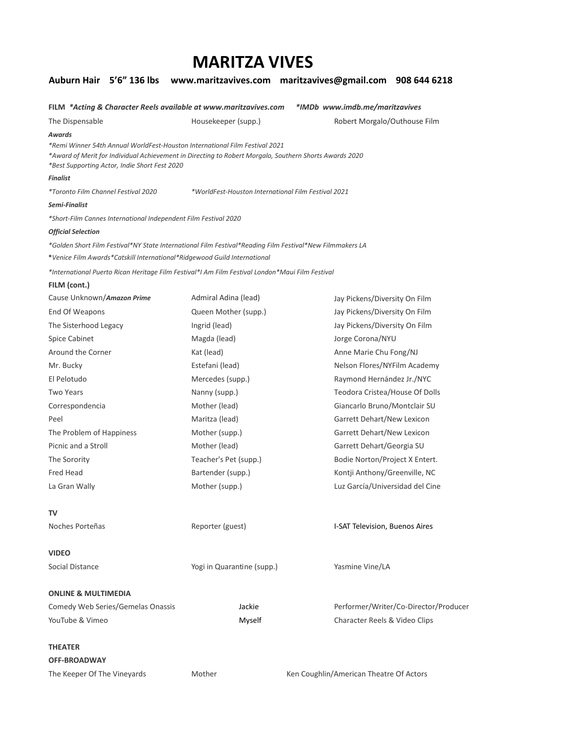# **MARITZA VIVES**

|                                     |                                               |                                                                                                                                                                                       | Auburn Hair 5'6" 136 lbs www.maritzavives.com maritzavives@gmail.com 908 644 6218 |
|-------------------------------------|-----------------------------------------------|---------------------------------------------------------------------------------------------------------------------------------------------------------------------------------------|-----------------------------------------------------------------------------------|
|                                     |                                               | FILM *Acting & Character Reels available at www.maritzavives.com                                                                                                                      | *IMDb www.imdb.me/maritzavives                                                    |
| The Dispensable                     |                                               | Housekeeper (supp.)                                                                                                                                                                   | Robert Morgalo/Outhouse Film                                                      |
| Awards<br><b>Finalist</b>           | *Best Supporting Actor, Indie Short Fest 2020 | *Remi Winner 54th Annual WorldFest-Houston International Film Festival 2021<br>2020 Award of Merit for Individual Achievement in Directing to Robert Morgalo, Southern Shorts Awards* |                                                                                   |
| *Toronto Film Channel Festival 2020 |                                               | *WorldFest-Houston International Film Festival 2021                                                                                                                                   |                                                                                   |
| Semi-Finalist                       |                                               |                                                                                                                                                                                       |                                                                                   |
|                                     |                                               | *Short-Film Cannes International Independent Film Festival 2020                                                                                                                       |                                                                                   |
| <b>Official Selection</b>           |                                               |                                                                                                                                                                                       |                                                                                   |
|                                     |                                               | 6LA restival Point Film Festival*NY State International Film Festival*Reading Film Festival*New Filmmakers &                                                                          |                                                                                   |
|                                     |                                               | *Venice Film Awards *Catskill International *Ridgewood Guild International                                                                                                            |                                                                                   |
|                                     |                                               | *International Puerto Rican Heritage Film Festival*I Am Film Festival London*Maui Film Festival                                                                                       |                                                                                   |
| FILM (cont.)                        |                                               |                                                                                                                                                                                       |                                                                                   |
| Cause Unknown/Amazon Prime          |                                               | Admiral Adina (lead)                                                                                                                                                                  | Jay Pickens/Diversity On Film                                                     |
| End Of Weapons                      |                                               | Queen Mother (supp.)                                                                                                                                                                  | Jay Pickens/Diversity On Film                                                     |
| The Sisterhood Legacy               |                                               | Ingrid (lead)                                                                                                                                                                         | Jay Pickens/Diversity On Film                                                     |
| <b>Spice Cabinet</b>                |                                               | Magda (lead)                                                                                                                                                                          | Jorge Corona/NYU                                                                  |
| Around the Corner                   |                                               | Kat (lead)                                                                                                                                                                            | Anne Marie Chu Fong/NJ                                                            |
| Mr. Bucky                           |                                               | Estefani (lead)                                                                                                                                                                       | Nelson Flores/NYFilm Academy                                                      |
| El Pelotudo                         |                                               | Mercedes (supp.)                                                                                                                                                                      | Raymond Hernández Jr./NYC                                                         |
| <b>Two Years</b>                    |                                               | Nanny (supp.)                                                                                                                                                                         | Teodora Cristea/House Of Dolls                                                    |
| Correspondencia                     |                                               | Mother (lead)                                                                                                                                                                         | Giancarlo Bruno/Montclair SU                                                      |
| Peel                                |                                               | Maritza (lead)                                                                                                                                                                        | Garrett Dehart/New Lexicon                                                        |
| The Problem of Happiness            |                                               | Mother (supp.)                                                                                                                                                                        | Garrett Dehart/New Lexicon                                                        |
| Picnic and a Stroll                 |                                               | Mother (lead)                                                                                                                                                                         | Garrett Dehart/Georgia SU                                                         |
| The Sorority                        |                                               | Teacher's Pet (supp.)                                                                                                                                                                 | Bodie Norton/Project X Entert.                                                    |
| Fred Head                           |                                               | Bartender (supp.)                                                                                                                                                                     | Kontji Anthony/Greenville, NC                                                     |
| La Gran Wally                       |                                               | Mother (supp.)                                                                                                                                                                        | Luz García/Universidad del Cine                                                   |
| TV                                  |                                               |                                                                                                                                                                                       |                                                                                   |
| Noches Porteñas                     |                                               | Reporter (guest)                                                                                                                                                                      | I-SAT Television, Buenos Aires                                                    |
| <b>VIDEO</b>                        |                                               |                                                                                                                                                                                       |                                                                                   |
| Social Distance                     |                                               | Yogi in Quarantine (supp.)                                                                                                                                                            | Yasmine Vine/LA                                                                   |
| <b>ONLINE &amp; MULTIMEDIA</b>      |                                               |                                                                                                                                                                                       |                                                                                   |
|                                     | Comedy Web Series/Gemelas Onassis             | Jackie                                                                                                                                                                                | Performer/Writer/Co-Director/Producer                                             |
| YouTube & Vimeo                     |                                               | Myself                                                                                                                                                                                | Character Reels & Video Clips                                                     |
| <b>THEATER</b>                      |                                               |                                                                                                                                                                                       |                                                                                   |
| <b>OFF-BROADWAY</b>                 |                                               |                                                                                                                                                                                       |                                                                                   |
| The Keeper Of The Vineyards         |                                               | Mother                                                                                                                                                                                | Ken Coughlin/American Theatre Of Actors                                           |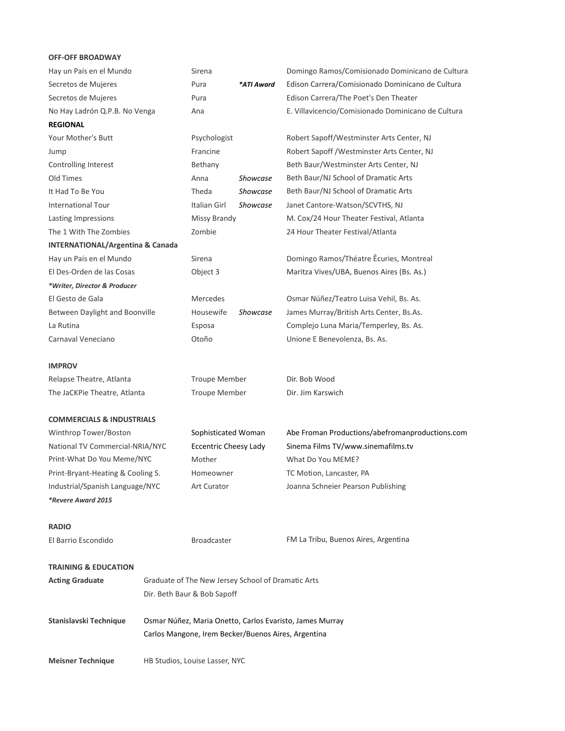## **OFF-OFF BROADWAY**

| Hay un País en el Mundo                                                            |                                                    | Sirena                       |                 | Domingo Ramos/Comisionado Dominicano de Cultura    |
|------------------------------------------------------------------------------------|----------------------------------------------------|------------------------------|-----------------|----------------------------------------------------|
| Secretos de Mujeres                                                                |                                                    | Pura                         | *ATI Award      | Edison Carrera/Comisionado Dominicano de Cultura   |
| Secretos de Mujeres                                                                |                                                    | Pura                         |                 | Edison Carrera/The Poet's Den Theater              |
| No Hay Ladrón Q.P.B. No Venga                                                      |                                                    | Ana                          |                 | E. Villavicencio/Comisionado Dominicano de Cultura |
| <b>REGIONAL</b>                                                                    |                                                    |                              |                 |                                                    |
| Your Mother's Butt                                                                 |                                                    | Psychologist                 |                 | Robert Sapoff/Westminster Arts Center, NJ          |
| Jump                                                                               |                                                    | Francine                     |                 | Robert Sapoff / Westminster Arts Center, NJ        |
| Controlling Interest                                                               |                                                    | Bethany                      |                 | Beth Baur/Westminster Arts Center, NJ              |
| Old Times                                                                          |                                                    | Anna                         | <b>Showcase</b> | Beth Baur/NJ School of Dramatic Arts               |
| It Had To Be You                                                                   |                                                    | Theda                        | Showcase        | Beth Baur/NJ School of Dramatic Arts               |
| <b>International Tour</b>                                                          |                                                    | Italian Girl                 | <b>Showcase</b> | Janet Cantore-Watson/SCVTHS, NJ                    |
| Lasting Impressions                                                                |                                                    | Missy Brandy                 |                 | M. Cox/24 Hour Theater Festival, Atlanta           |
| The 1 With The Zombies                                                             |                                                    | Zombie                       |                 | 24 Hour Theater Festival/Atlanta                   |
| <b>INTERNATIONAL/Argentina &amp; Canada</b>                                        |                                                    |                              |                 |                                                    |
| Hay un País en el Mundo                                                            |                                                    | Sirena                       |                 | Domingo Ramos/Théatre Êcuries, Montreal            |
| El Des-Orden de las Cosas                                                          |                                                    | Object 3                     |                 | Maritza Vives/UBA, Buenos Aires (Bs. As.)          |
| *Writer, Director & Producer                                                       |                                                    |                              |                 |                                                    |
| El Gesto de Gala                                                                   |                                                    | Mercedes                     |                 | Osmar Núñez/Teatro Luisa Vehil, Bs. As.            |
| Between Daylight and Boonville                                                     |                                                    | Housewife                    | <b>Showcase</b> | James Murray/British Arts Center, Bs.As.           |
| La Rutina                                                                          |                                                    | Esposa                       |                 | Complejo Luna Maria/Temperley, Bs. As.             |
| Carnaval Veneciano                                                                 |                                                    | Otoño                        |                 | Unione E Benevolenza, Bs. As.                      |
|                                                                                    |                                                    |                              |                 |                                                    |
| <b>IMPROV</b>                                                                      |                                                    |                              |                 |                                                    |
| Relapse Theatre, Atlanta                                                           |                                                    | <b>Troupe Member</b>         |                 | Dir. Bob Wood                                      |
| The JaCKPie Theatre, Atlanta                                                       |                                                    | <b>Troupe Member</b>         |                 | Dir. Jim Karswich                                  |
|                                                                                    |                                                    |                              |                 |                                                    |
| <b>COMMERCIALS &amp; INDUSTRIALS</b>                                               |                                                    |                              |                 |                                                    |
| Winthrop Tower/Boston                                                              |                                                    | Sophisticated Woman          |                 | Abe Froman Productions/abefromanproductions.com    |
| National TV Commercial-NRIA/NYC                                                    |                                                    | <b>Eccentric Cheesy Lady</b> |                 | Sinema Films TV/www.sinemafilms.tv                 |
| Print-What Do You Meme/NYC                                                         |                                                    | Mother                       |                 | What Do You MEME?                                  |
| Print-Bryant-Heating & Cooling S.                                                  |                                                    | Homeowner                    |                 | TC Motion, Lancaster, PA                           |
| Industrial/Spanish Language/NYC                                                    |                                                    | <b>Art Curator</b>           |                 | Joanna Schneier Pearson Publishing                 |
| *Revere Award 2015                                                                 |                                                    |                              |                 |                                                    |
|                                                                                    |                                                    |                              |                 |                                                    |
| <b>RADIO</b>                                                                       |                                                    |                              |                 |                                                    |
| El Barrio Escondido                                                                |                                                    | <b>Broadcaster</b>           |                 | FM La Tribu, Buenos Aires, Argentina               |
|                                                                                    |                                                    |                              |                 |                                                    |
| <b>TRAINING &amp; EDUCATION</b>                                                    |                                                    |                              |                 |                                                    |
| <b>Acting Graduate</b>                                                             | Graduate of The New Jersey School of Dramatic Arts |                              |                 |                                                    |
|                                                                                    |                                                    | Dir. Beth Baur & Bob Sapoff  |                 |                                                    |
|                                                                                    |                                                    |                              |                 |                                                    |
| Stanislavski Technique<br>Osmar Núñez, Maria Onetto, Carlos Evaristo, James Murray |                                                    |                              |                 |                                                    |
| Carlos Mangone, Irem Becker/Buenos Aires, Argentina                                |                                                    |                              |                 |                                                    |
|                                                                                    |                                                    |                              |                 |                                                    |
| <b>Meisner Technique</b>                                                           | HB Studios, Louise Lasser, NYC                     |                              |                 |                                                    |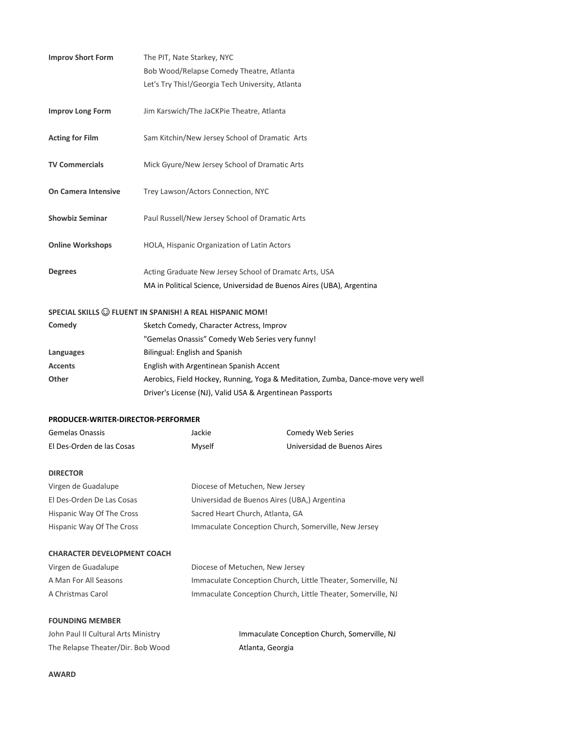| <b>Improv Short Form</b>           | The PIT, Nate Starkey, NYC                                                      |
|------------------------------------|---------------------------------------------------------------------------------|
|                                    | Bob Wood/Relapse Comedy Theatre, Atlanta                                        |
|                                    | Let's Try This!/Georgia Tech University, Atlanta                                |
| <b>Improv Long Form</b>            | Jim Karswich/The JaCKPie Theatre, Atlanta                                       |
| <b>Acting for Film</b>             | Sam Kitchin/New Jersey School of Dramatic Arts                                  |
| <b>TV Commercials</b>              | Mick Gyure/New Jersey School of Dramatic Arts                                   |
| On Camera Intensive                | Trey Lawson/Actors Connection, NYC                                              |
| <b>Showbiz Seminar</b>             | Paul Russell/New Jersey School of Dramatic Arts                                 |
| <b>Online Workshops</b>            | HOLA, Hispanic Organization of Latin Actors                                     |
| <b>Degrees</b>                     | Acting Graduate New Jersey School of Dramatc Arts, USA                          |
|                                    | MA in Political Science, Universidad de Buenos Aires (UBA), Argentina           |
|                                    | SPECIAL SKILLS @ FLUENT IN SPANISH! A REAL HISPANIC MOM!                        |
| Comedy                             | Sketch Comedy, Character Actress, Improv                                        |
|                                    | "Gemelas Onassis" Comedy Web Series very funny!                                 |
| Languages                          | Bilingual: English and Spanish                                                  |
| <b>Accents</b>                     | English with Argentinean Spanish Accent                                         |
| Other                              | Aerobics, Field Hockey, Running, Yoga & Meditation, Zumba, Dance-move very well |
|                                    | Driver's License (NJ), Valid USA & Argentinean Passports                        |
| PRODUCER-WRITER-DIRECTOR-PERFORMER |                                                                                 |

| Gemelas Onassis           | Jackie | Comedy Web Series           |
|---------------------------|--------|-----------------------------|
| El Des-Orden de las Cosas | Myself | Universidad de Buenos Aires |

#### **DIRECTOR**

| Virgen de Guadalupe       | Diocese of Metuchen, New Jersey                      |
|---------------------------|------------------------------------------------------|
| El Des-Orden De Las Cosas | Universidad de Buenos Aires (UBA,) Argentina         |
| Hispanic Way Of The Cross | Sacred Heart Church, Atlanta, GA                     |
| Hispanic Way Of The Cross | Immaculate Conception Church, Somerville, New Jersey |

| <b>CHARACTER DEVELOPMENT COACH</b> |                                                              |
|------------------------------------|--------------------------------------------------------------|
| Virgen de Guadalupe                | Diocese of Metuchen, New Jersey                              |
| A Man For All Seasons              | Immaculate Conception Church, Little Theater, Somerville, NJ |
| A Christmas Carol                  | Immaculate Conception Church, Little Theater, Somerville, NJ |

### **FOUNDING MEMBER**

| John Paul II Cultural Arts Ministry | Immaculate Conception Church, Somerville, NJ |
|-------------------------------------|----------------------------------------------|
| The Relapse Theater/Dir. Bob Wood   | Atlanta, Georgia                             |

#### **AWARD**